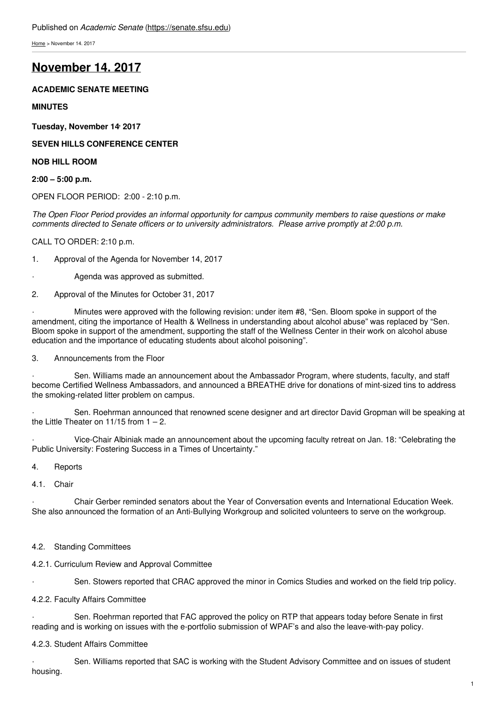[Home](https://senate.sfsu.edu/) > November 14. 2017

# **[November](https://senate.sfsu.edu/meeting-minutes-archive/november-14-2017) 14. 2017**

## **ACADEMIC SENATE MEETING**

## **MINUTES**

**Tuesday, November 14 , 2017**

**SEVEN HILLS CONFERENCE CENTER**

**NOB HILL ROOM**

**2:00 – 5:00 p.m.**

OPEN FLOOR PERIOD: 2:00 - 2:10 p.m.

The Open Floor Period provides an informal opportunity for campus community members to raise questions or make *comments directed to Senate officers or to university administrators. Please arrive promptly at 2:00 p.m.*

### CALL TO ORDER: 2:10 p.m.

1. Approval of the Agenda for November 14, 2017

- Agenda was approved as submitted.
- 2. Approval of the Minutes for October 31, 2017

Minutes were approved with the following revision: under item #8, "Sen. Bloom spoke in support of the amendment, citing the importance of Health & Wellness in understanding about alcohol abuse" was replaced by "Sen. Bloom spoke in support of the amendment, supporting the staff of the Wellness Center in their work on alcohol abuse education and the importance of educating students about alcohol poisoning".

3. Announcements from the Floor

Sen. Williams made an announcement about the Ambassador Program, where students, faculty, and staff become Certified Wellness Ambassadors, and announced a BREATHE drive for donations of mint-sized tins to address the smoking-related litter problem on campus.

Sen. Roehrman announced that renowned scene designer and art director David Gropman will be speaking at the Little Theater on  $11/15$  from  $1 - 2$ .

· Vice-Chair Albiniak made an announcement about the upcoming faculty retreat on Jan. 18: "Celebrating the Public University: Fostering Success in a Times of Uncertainty."

## 4. Reports

#### 4.1 Chair

· Chair Gerber reminded senators about the Year of Conversation events and International Education Week. She also announced the formation of an Anti-Bullying Workgroup and solicited volunteers to serve on the workgroup.

4.2. Standing Committees

## 4.2.1. Curriculum Review and Approval Committee

Sen. Stowers reported that CRAC approved the minor in Comics Studies and worked on the field trip policy.

#### 4.2.2. Faculty Affairs Committee

Sen. Roehrman reported that FAC approved the policy on RTP that appears today before Senate in first reading and is working on issues with the e-portfolio submission of WPAF's and also the leave-with-pay policy.

## 4.2.3. Student Affairs Committee

Sen. Williams reported that SAC is working with the Student Advisory Committee and on issues of student housing.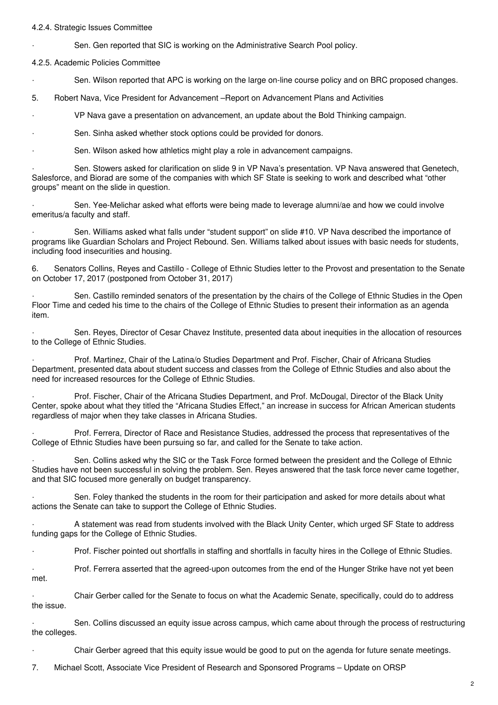#### 4.2.4. Strategic Issues Committee

Sen. Gen reported that SIC is working on the Administrative Search Pool policy.

4.2.5. Academic Policies Committee

Sen. Wilson reported that APC is working on the large on-line course policy and on BRC proposed changes.

5. Robert Nava, Vice President for Advancement –Report on Advancement Plans and Activities

· VP Nava gave a presentation on advancement, an update about the Bold Thinking campaign.

Sen. Sinha asked whether stock options could be provided for donors.

Sen. Wilson asked how athletics might play a role in advancement campaigns.

Sen. Stowers asked for clarification on slide 9 in VP Nava's presentation. VP Nava answered that Genetech, Salesforce, and Biorad are some of the companies with which SF State is seeking to work and described what "other groups" meant on the slide in question.

Sen. Yee-Melichar asked what efforts were being made to leverage alumni/ae and how we could involve emeritus/a faculty and staff.

Sen. Williams asked what falls under "student support" on slide #10. VP Nava described the importance of programs like Guardian Scholars and Project Rebound. Sen. Williams talked about issues with basic needs for students, including food insecurities and housing.

6. Senators Collins, Reyes and Castillo - College of Ethnic Studies letter to the Provost and presentation to the Senate on October 17, 2017 (postponed from October 31, 2017)

· Sen. Castillo reminded senators of the presentation by the chairs of the College of Ethnic Studies in the Open Floor Time and ceded his time to the chairs of the College of Ethnic Studies to present their information as an agenda item.

Sen. Reyes, Director of Cesar Chavez Institute, presented data about inequities in the allocation of resources to the College of Ethnic Studies.

Prof. Martinez, Chair of the Latina/o Studies Department and Prof. Fischer, Chair of Africana Studies Department, presented data about student success and classes from the College of Ethnic Studies and also about the need for increased resources for the College of Ethnic Studies.

Prof. Fischer, Chair of the Africana Studies Department, and Prof. McDougal, Director of the Black Unity Center, spoke about what they titled the "Africana Studies Effect," an increase in success for African American students regardless of major when they take classes in Africana Studies.

· Prof. Ferrera, Director of Race and Resistance Studies, addressed the process that representatives of the College of Ethnic Studies have been pursuing so far, and called for the Senate to take action.

Sen. Collins asked why the SIC or the Task Force formed between the president and the College of Ethnic Studies have not been successful in solving the problem. Sen. Reyes answered that the task force never came together, and that SIC focused more generally on budget transparency.

Sen. Foley thanked the students in the room for their participation and asked for more details about what actions the Senate can take to support the College of Ethnic Studies.

· A statement was read from students involved with the Black Unity Center, which urged SF State to address funding gaps for the College of Ethnic Studies.

Prof. Fischer pointed out shortfalls in staffing and shortfalls in faculty hires in the College of Ethnic Studies.

Prof. Ferrera asserted that the agreed-upon outcomes from the end of the Hunger Strike have not yet been met.

· Chair Gerber called for the Senate to focus on what the Academic Senate, specifically, could do to address the issue.

· Sen. Collins discussed an equity issue across campus, which came about through the process of restructuring the colleges.

· Chair Gerber agreed that this equity issue would be good to put on the agenda for future senate meetings.

7. Michael Scott, Associate Vice President of Research and Sponsored Programs – Update on ORSP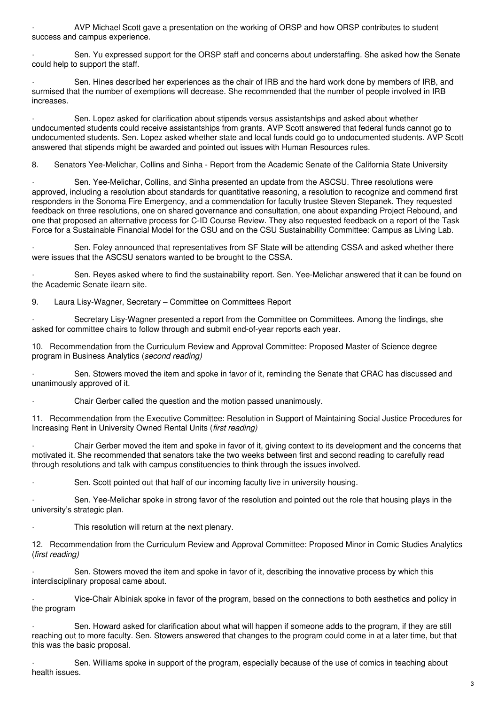· AVP Michael Scott gave a presentation on the working of ORSP and how ORSP contributes to student success and campus experience.

Sen. Yu expressed support for the ORSP staff and concerns about understaffing. She asked how the Senate could help to support the staff.

Sen. Hines described her experiences as the chair of IRB and the hard work done by members of IRB, and surmised that the number of exemptions will decrease. She recommended that the number of people involved in IRB increases.

Sen. Lopez asked for clarification about stipends versus assistantships and asked about whether undocumented students could receive assistantships from grants. AVP Scott answered that federal funds cannot go to undocumented students. Sen. Lopez asked whether state and local funds could go to undocumented students. AVP Scott answered that stipends might be awarded and pointed out issues with Human Resources rules.

8. Senators Yee-Melichar, Collins and Sinha - Report from the Academic Senate of the California State University

Sen. Yee-Melichar, Collins, and Sinha presented an update from the ASCSU. Three resolutions were approved, including a resolution about standards for quantitative reasoning, a resolution to recognize and commend first responders in the Sonoma Fire Emergency, and a commendation for faculty trustee Steven Stepanek. They requested feedback on three resolutions, one on shared governance and consultation, one about expanding Project Rebound, and one that proposed an alternative process for C-ID Course Review. They also requested feedback on a report of the Task Force for a Sustainable Financial Model for the CSU and on the CSU Sustainability Committee: Campus as Living Lab.

Sen. Foley announced that representatives from SF State will be attending CSSA and asked whether there were issues that the ASCSU senators wanted to be brought to the CSSA.

Sen. Reyes asked where to find the sustainability report. Sen. Yee-Melichar answered that it can be found on the Academic Senate ilearn site.

9. Laura Lisy-Wagner, Secretary – Committee on Committees Report

Secretary Lisy-Wagner presented a report from the Committee on Committees. Among the findings, she asked for committee chairs to follow through and submit end-of-year reports each year.

10. Recommendation from the Curriculum Review and Approval Committee: Proposed Master of Science degree program in Business Analytics (*second reading)*

Sen. Stowers moved the item and spoke in favor of it, reminding the Senate that CRAC has discussed and unanimously approved of it.

· Chair Gerber called the question and the motion passed unanimously.

11. Recommendation from the Executive Committee: Resolution in Support of Maintaining Social Justice Procedures for Increasing Rent in University Owned Rental Units (*first reading)*

· Chair Gerber moved the item and spoke in favor of it, giving context to its development and the concerns that motivated it. She recommended that senators take the two weeks between first and second reading to carefully read through resolutions and talk with campus constituencies to think through the issues involved.

Sen. Scott pointed out that half of our incoming faculty live in university housing.

Sen. Yee-Melichar spoke in strong favor of the resolution and pointed out the role that housing plays in the university's strategic plan.

This resolution will return at the next plenary.

12. Recommendation from the Curriculum Review and Approval Committee: Proposed Minor in Comic Studies Analytics (*first reading)*

Sen. Stowers moved the item and spoke in favor of it, describing the innovative process by which this interdisciplinary proposal came about.

· Vice-Chair Albiniak spoke in favor of the program, based on the connections to both aesthetics and policy in the program

Sen. Howard asked for clarification about what will happen if someone adds to the program, if they are still reaching out to more faculty. Sen. Stowers answered that changes to the program could come in at a later time, but that this was the basic proposal.

Sen. Williams spoke in support of the program, especially because of the use of comics in teaching about health issues.